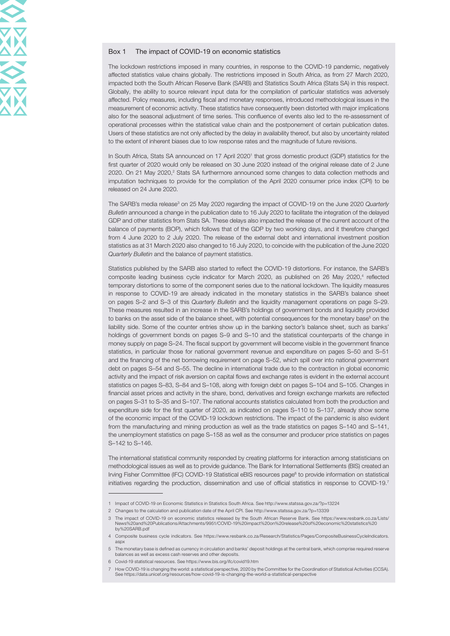## Box 1 The impact of COVID-19 on economic statistics

The lockdown restrictions imposed in many countries, in response to the COVID-19 pandemic, negatively affected statistics value chains globally. The restrictions imposed in South Africa, as from 27 March 2020, impacted both the South African Reserve Bank (SARB) and Statistics South Africa (Stats SA) in this respect. Globally, the ability to source relevant input data for the compilation of particular statistics was adversely affected. Policy measures, including fiscal and monetary responses, introduced methodological issues in the measurement of economic activity. These statistics have consequently been distorted with major implications also for the seasonal adjustment of time series. This confluence of events also led to the re-assessment of operational processes within the statistical value chain and the postponement of certain publication dates. Users of these statistics are not only affected by the delay in availability thereof, but also by uncertainty related to the extent of inherent biases due to low response rates and the magnitude of future revisions.

In South Africa, Stats SA announced on 17 April 2020<sup>1</sup> that gross domestic product (GDP) statistics for the first quarter of 2020 would only be released on 30 June 2020 instead of the original release date of 2 June 2020. On 21 May 2020, $2$  Stats SA furthermore announced some changes to data collection methods and imputation techniques to provide for the compilation of the April 2020 consumer price index (CPI) to be released on 24 June 2020.

The SARB's media release<sup>3</sup> on 25 May 2020 regarding the impact of COVID-19 on the June 2020 Quarterly Bulletin announced a change in the publication date to 16 July 2020 to facilitate the integration of the delayed GDP and other statistics from Stats SA. These delays also impacted the release of the current account of the balance of payments (BOP), which follows that of the GDP by two working days, and it therefore changed from 4 June 2020 to 2 July 2020. The release of the external debt and international investment position statistics as at 31 March 2020 also changed to 16 July 2020, to coincide with the publication of the June 2020 Quarterly Bulletin and the balance of payment statistics.

Statistics published by the SARB also started to reflect the COVID-19 distortions. For instance, the SARB's composite leading business cycle indicator for March 2020, as published on 26 May 2020,<sup>4</sup> reflected temporary distortions to some of the component series due to the national lockdown. The liquidity measures in response to COVID-19 are already indicated in the monetary statistics in the SARB's balance sheet on pages S–2 and S–3 of this Quarterly Bulletin and the liquidity management operations on page S–29. These measures resulted in an increase in the SARB's holdings of government bonds and liquidity provided to banks on the asset side of the balance sheet, with potential consequences for the monetary base<sup>5</sup> on the liability side. Some of the counter entries show up in the banking sector's balance sheet, such as banks' holdings of government bonds on pages S–9 and S–10 and the statistical counterparts of the change in money supply on page S–24. The fiscal support by government will become visible in the government finance statistics, in particular those for national government revenue and expenditure on pages S–50 and S–51 and the financing of the net borrowing requirement on page S–52, which spill over into national government debt on pages S–54 and S–55. The decline in international trade due to the contraction in global economic activity and the impact of risk aversion on capital flows and exchange rates is evident in the external account statistics on pages S–83, S–84 and S–108, along with foreign debt on pages S–104 and S–105. Changes in financial asset prices and activity in the share, bond, derivatives and foreign exchange markets are reflected on pages S–31 to S–35 and S–107. The national accounts statistics calculated from both the production and expenditure side for the first quarter of 2020, as indicated on pages S–110 to S–137, already show some of the economic impact of the COVID-19 lockdown restrictions. The impact of the pandemic is also evident from the manufacturing and mining production as well as the trade statistics on pages S–140 and S–141, the unemployment statistics on page S–158 as well as the consumer and producer price statistics on pages S–142 to S–146.

The international statistical community responded by creating platforms for interaction among statisticians on methodological issues as well as to provide guidance. The Bank for International Settlements (BIS) created an Irving Fisher Committee (IFC) COVID-19 Statistical eBIS resources page<sup>6</sup> to provide information on statistical initiatives regarding the production, dissemination and use of official statistics in response to COVID-19.7

<sup>1</sup> Impact of COVID-19 on Economic Statistics in Statistics South Africa. [See http://www.statssa.gov.za/?p=13224](http://www.statssa.gov.za/?p=13224)

<sup>2</sup> Changes to the calculation and publication date of the April CPI. See<http://www.statssa.gov.za/?p=13339>

<sup>3</sup> The impact of COVID-19 on economic statistics released by the South African Reserve Bank. [See https://www.resbank.co.za/Lists/](https://www.resbank.co.za/Lists/News%20and%20Publications/Attachments/9951/COVID-19%20impact%20on%20release%20of%20economic%20statistics%20by%20SARB.pdf)<br>News%20and%20Publications/Attachments/9951/COVID-19%20impact%20on%20release%20of%20economic%2 [by%20SARB.pdf](https://www.resbank.co.za/Lists/News%20and%20Publications/Attachments/9951/COVID-19%20impact%20on%20release%20of%20economic%20statistics%20by%20SARB.pdf)

<sup>4</sup> Composite business cycle indicators. See [https://www.resbank.co.za/Research/Statistics/Pages/CompositeBusinessCycleIndicators.](https://www.resbank.co.za/Research/Statistics/Pages/CompositeBusinessCycleIndicators.aspx) [aspx](https://www.resbank.co.za/Research/Statistics/Pages/CompositeBusinessCycleIndicators.aspx)

<sup>5</sup> The monetary base is defined as currency in circulation and banks' deposit holdings at the central bank, which comprise required reserve balances as well as excess cash reserves and other deposits.

<sup>6</sup> Covid-19 statistical resources. See<https://www.bis.org/ifc/covid19.htm>

<sup>7</sup> How COVID-19 is changing the world: a statistical perspective, 2020 by the Committee for the Coordination of Statistical Activities (CCSA).<br>See https://data.unicef.org/resources/how-covid-19-is-changing-the-world-a-stati